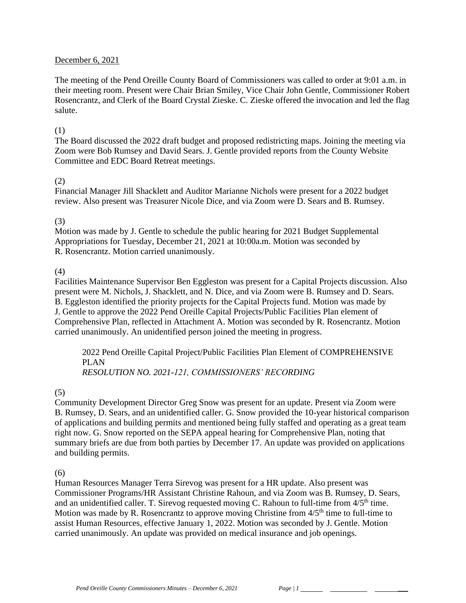#### December 6, 2021

The meeting of the Pend Oreille County Board of Commissioners was called to order at 9:01 a.m. in their meeting room. Present were Chair Brian Smiley, Vice Chair John Gentle, Commissioner Robert Rosencrantz, and Clerk of the Board Crystal Zieske. C. Zieske offered the invocation and led the flag salute.

#### (1)

The Board discussed the 2022 draft budget and proposed redistricting maps. Joining the meeting via Zoom were Bob Rumsey and David Sears. J. Gentle provided reports from the County Website Committee and EDC Board Retreat meetings.

#### (2)

Financial Manager Jill Shacklett and Auditor Marianne Nichols were present for a 2022 budget review. Also present was Treasurer Nicole Dice, and via Zoom were D. Sears and B. Rumsey.

#### (3)

Motion was made by J. Gentle to schedule the public hearing for 2021 Budget Supplemental Appropriations for Tuesday, December 21, 2021 at 10:00a.m. Motion was seconded by R. Rosencrantz. Motion carried unanimously.

#### (4)

Facilities Maintenance Supervisor Ben Eggleston was present for a Capital Projects discussion. Also present were M. Nichols, J. Shacklett, and N. Dice, and via Zoom were B. Rumsey and D. Sears. B. Eggleston identified the priority projects for the Capital Projects fund. Motion was made by J. Gentle to approve the 2022 Pend Oreille Capital Projects/Public Facilities Plan element of Comprehensive Plan, reflected in Attachment A. Motion was seconded by R. Rosencrantz. Motion carried unanimously. An unidentified person joined the meeting in progress.

2022 Pend Oreille Capital Project/Public Facilities Plan Element of COMPREHENSIVE PLAN *RESOLUTION NO. 2021-121, COMMISSIONERS' RECORDING* 

#### (5)

Community Development Director Greg Snow was present for an update. Present via Zoom were B. Rumsey, D. Sears, and an unidentified caller. G. Snow provided the 10-year historical comparison of applications and building permits and mentioned being fully staffed and operating as a great team right now. G. Snow reported on the SEPA appeal hearing for Comprehensive Plan, noting that summary briefs are due from both parties by December 17. An update was provided on applications and building permits.

#### $(6)$

Human Resources Manager Terra Sirevog was present for a HR update. Also present was Commissioner Programs/HR Assistant Christine Rahoun, and via Zoom was B. Rumsey, D. Sears, and an unidentified caller. T. Sirevog requested moving C. Rahoun to full-time from  $4/5<sup>th</sup>$  time. Motion was made by R. Rosencrantz to approve moving Christine from  $4/5<sup>th</sup>$  time to full-time to assist Human Resources, effective January 1, 2022. Motion was seconded by J. Gentle. Motion carried unanimously. An update was provided on medical insurance and job openings.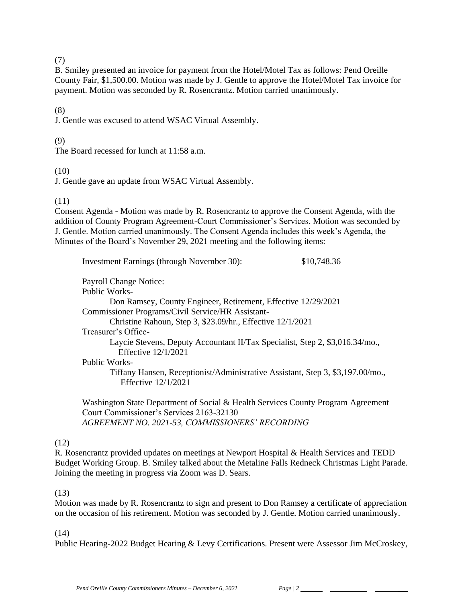#### (7)

B. Smiley presented an invoice for payment from the Hotel/Motel Tax as follows: Pend Oreille County Fair, \$1,500.00. Motion was made by J. Gentle to approve the Hotel/Motel Tax invoice for payment. Motion was seconded by R. Rosencrantz. Motion carried unanimously.

#### (8)

J. Gentle was excused to attend WSAC Virtual Assembly.

### (9)

The Board recessed for lunch at 11:58 a.m.

#### (10)

J. Gentle gave an update from WSAC Virtual Assembly.

## (11)

Consent Agenda - Motion was made by R. Rosencrantz to approve the Consent Agenda, with the addition of County Program Agreement-Court Commissioner's Services. Motion was seconded by J. Gentle. Motion carried unanimously. The Consent Agenda includes this week's Agenda, the Minutes of the Board's November 29, 2021 meeting and the following items:

Investment Earnings (through November 30): \$10,748.36

Payroll Change Notice:

Public Works-

Don Ramsey, County Engineer, Retirement, Effective 12/29/2021 Commissioner Programs/Civil Service/HR Assistant-Christine Rahoun, Step 3, \$23.09/hr., Effective 12/1/2021 Treasurer's Office-Laycie Stevens, Deputy Accountant II/Tax Specialist, Step 2, \$3,016.34/mo., Effective 12/1/2021 Public Works-Tiffany Hansen, Receptionist/Administrative Assistant, Step 3, \$3,197.00/mo., Effective 12/1/2021

Washington State Department of Social & Health Services County Program Agreement Court Commissioner's Services 2163-32130 *AGREEMENT NO. 2021-53, COMMISSIONERS' RECORDING*

# (12)

R. Rosencrantz provided updates on meetings at Newport Hospital & Health Services and TEDD Budget Working Group. B. Smiley talked about the Metaline Falls Redneck Christmas Light Parade. Joining the meeting in progress via Zoom was D. Sears.

## (13)

Motion was made by R. Rosencrantz to sign and present to Don Ramsey a certificate of appreciation on the occasion of his retirement. Motion was seconded by J. Gentle. Motion carried unanimously.

#### (14)

Public Hearing-2022 Budget Hearing & Levy Certifications. Present were Assessor Jim McCroskey,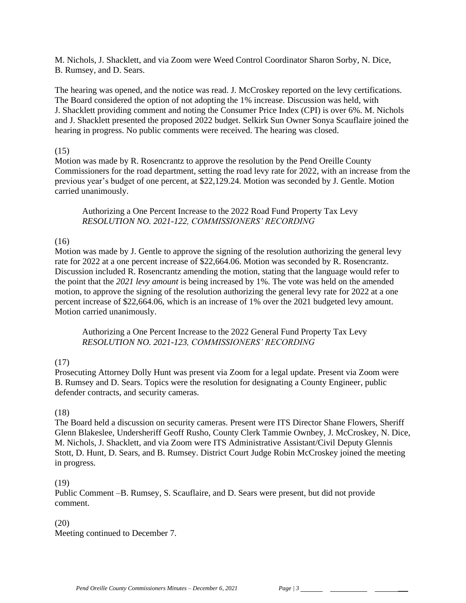M. Nichols, J. Shacklett, and via Zoom were Weed Control Coordinator Sharon Sorby, N. Dice, B. Rumsey, and D. Sears.

The hearing was opened, and the notice was read. J. McCroskey reported on the levy certifications. The Board considered the option of not adopting the 1% increase. Discussion was held, with J. Shacklett providing comment and noting the Consumer Price Index (CPI) is over 6%. M. Nichols and J. Shacklett presented the proposed 2022 budget. Selkirk Sun Owner Sonya Scauflaire joined the hearing in progress. No public comments were received. The hearing was closed.

### (15)

Motion was made by R. Rosencrantz to approve the resolution by the Pend Oreille County Commissioners for the road department, setting the road levy rate for 2022, with an increase from the previous year's budget of one percent, at \$22,129.24. Motion was seconded by J. Gentle. Motion carried unanimously.

Authorizing a One Percent Increase to the 2022 Road Fund Property Tax Levy *RESOLUTION NO. 2021-122, COMMISSIONERS' RECORDING*

# (16)

Motion was made by J. Gentle to approve the signing of the resolution authorizing the general levy rate for 2022 at a one percent increase of \$22,664.06. Motion was seconded by R. Rosencrantz. Discussion included R. Rosencrantz amending the motion, stating that the language would refer to the point that the *2021 levy amount* is being increased by 1%. The vote was held on the amended motion, to approve the signing of the resolution authorizing the general levy rate for 2022 at a one percent increase of \$22,664.06, which is an increase of 1% over the 2021 budgeted levy amount. Motion carried unanimously.

Authorizing a One Percent Increase to the 2022 General Fund Property Tax Levy *RESOLUTION NO. 2021-123, COMMISSIONERS' RECORDING*

## (17)

Prosecuting Attorney Dolly Hunt was present via Zoom for a legal update. Present via Zoom were B. Rumsey and D. Sears. Topics were the resolution for designating a County Engineer, public defender contracts, and security cameras.

## (18)

The Board held a discussion on security cameras. Present were ITS Director Shane Flowers, Sheriff Glenn Blakeslee, Undersheriff Geoff Rusho, County Clerk Tammie Ownbey, J. McCroskey, N. Dice, M. Nichols, J. Shacklett, and via Zoom were ITS Administrative Assistant/Civil Deputy Glennis Stott, D. Hunt, D. Sears, and B. Rumsey. District Court Judge Robin McCroskey joined the meeting in progress.

## (19)

Public Comment –B. Rumsey, S. Scauflaire, and D. Sears were present, but did not provide comment.

## (20)

Meeting continued to December 7.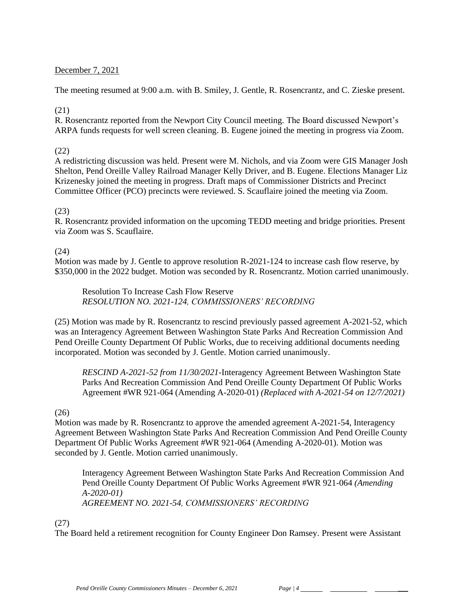## December 7, 2021

The meeting resumed at 9:00 a.m. with B. Smiley, J. Gentle, R. Rosencrantz, and C. Zieske present.

## (21)

R. Rosencrantz reported from the Newport City Council meeting. The Board discussed Newport's ARPA funds requests for well screen cleaning. B. Eugene joined the meeting in progress via Zoom.

# (22)

A redistricting discussion was held. Present were M. Nichols, and via Zoom were GIS Manager Josh Shelton, Pend Oreille Valley Railroad Manager Kelly Driver, and B. Eugene. Elections Manager Liz Krizenesky joined the meeting in progress. Draft maps of Commissioner Districts and Precinct Committee Officer (PCO) precincts were reviewed. S. Scauflaire joined the meeting via Zoom.

# (23)

R. Rosencrantz provided information on the upcoming TEDD meeting and bridge priorities. Present via Zoom was S. Scauflaire.

# (24)

Motion was made by J. Gentle to approve resolution R-2021-124 to increase cash flow reserve, by \$350,000 in the 2022 budget. Motion was seconded by R. Rosencrantz. Motion carried unanimously.

Resolution To Increase Cash Flow Reserve *RESOLUTION NO. 2021-124, COMMISSIONERS' RECORDING* 

(25) Motion was made by R. Rosencrantz to rescind previously passed agreement A-2021-52, which was an Interagency Agreement Between Washington State Parks And Recreation Commission And Pend Oreille County Department Of Public Works, due to receiving additional documents needing incorporated. Motion was seconded by J. Gentle. Motion carried unanimously.

*RESCIND A-2021-52 from 11/30/2021-*Interagency Agreement Between Washington State Parks And Recreation Commission And Pend Oreille County Department Of Public Works Agreement #WR 921-064 (Amending A-2020-01) *(Replaced with A-2021-54 on 12/7/2021)*

## $(26)$

Motion was made by R. Rosencrantz to approve the amended agreement A-2021-54, Interagency Agreement Between Washington State Parks And Recreation Commission And Pend Oreille County Department Of Public Works Agreement #WR 921-064 (Amending A-2020-01). Motion was seconded by J. Gentle. Motion carried unanimously.

Interagency Agreement Between Washington State Parks And Recreation Commission And Pend Oreille County Department Of Public Works Agreement #WR 921-064 *(Amending A-2020-01) AGREEMENT NO. 2021-54, COMMISSIONERS' RECORDING*

## (27)

The Board held a retirement recognition for County Engineer Don Ramsey. Present were Assistant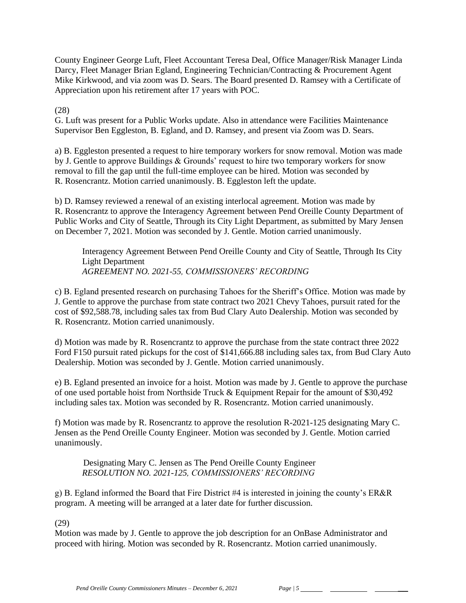County Engineer George Luft, Fleet Accountant Teresa Deal, Office Manager/Risk Manager Linda Darcy, Fleet Manager Brian Egland, Engineering Technician/Contracting & Procurement Agent Mike Kirkwood, and via zoom was D. Sears. The Board presented D. Ramsey with a Certificate of Appreciation upon his retirement after 17 years with POC.

(28)

G. Luft was present for a Public Works update. Also in attendance were Facilities Maintenance Supervisor Ben Eggleston, B. Egland, and D. Ramsey, and present via Zoom was D. Sears.

a) B. Eggleston presented a request to hire temporary workers for snow removal. Motion was made by J. Gentle to approve Buildings & Grounds' request to hire two temporary workers for snow removal to fill the gap until the full-time employee can be hired. Motion was seconded by R. Rosencrantz. Motion carried unanimously. B. Eggleston left the update.

b) D. Ramsey reviewed a renewal of an existing interlocal agreement. Motion was made by R. Rosencrantz to approve the Interagency Agreement between Pend Oreille County Department of Public Works and City of Seattle, Through its City Light Department, as submitted by Mary Jensen on December 7, 2021. Motion was seconded by J. Gentle. Motion carried unanimously.

Interagency Agreement Between Pend Oreille County and City of Seattle, Through Its City Light Department *AGREEMENT NO. 2021-55, COMMISSIONERS' RECORDING*

c) B. Egland presented research on purchasing Tahoes for the Sheriff's Office. Motion was made by J. Gentle to approve the purchase from state contract two 2021 Chevy Tahoes, pursuit rated for the cost of \$92,588.78, including sales tax from Bud Clary Auto Dealership. Motion was seconded by R. Rosencrantz. Motion carried unanimously.

d) Motion was made by R. Rosencrantz to approve the purchase from the state contract three 2022 Ford F150 pursuit rated pickups for the cost of \$141,666.88 including sales tax, from Bud Clary Auto Dealership. Motion was seconded by J. Gentle. Motion carried unanimously.

e) B. Egland presented an invoice for a hoist. Motion was made by J. Gentle to approve the purchase of one used portable hoist from Northside Truck & Equipment Repair for the amount of \$30,492 including sales tax. Motion was seconded by R. Rosencrantz. Motion carried unanimously.

f) Motion was made by R. Rosencrantz to approve the resolution R-2021-125 designating Mary C. Jensen as the Pend Oreille County Engineer. Motion was seconded by J. Gentle. Motion carried unanimously.

 Designating Mary C. Jensen as The Pend Oreille County Engineer *RESOLUTION NO. 2021-125, COMMISSIONERS' RECORDING*

g) B. Egland informed the Board that Fire District #4 is interested in joining the county's ER&R program. A meeting will be arranged at a later date for further discussion.

(29)

Motion was made by J. Gentle to approve the job description for an OnBase Administrator and proceed with hiring. Motion was seconded by R. Rosencrantz. Motion carried unanimously.